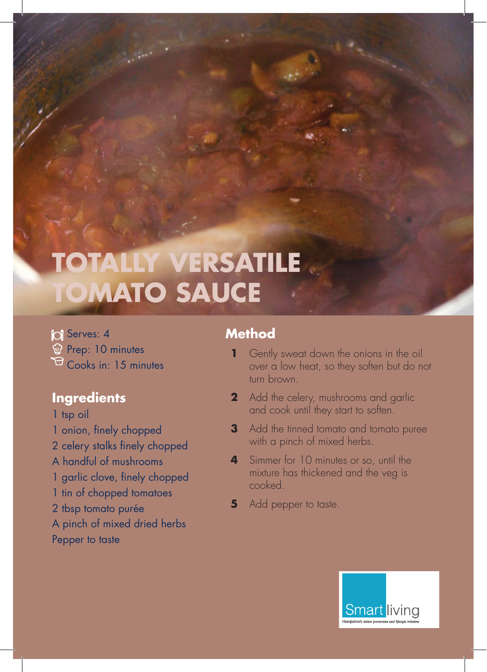# **TOTALLY VERSATILE TOMATO SAUCE**

**C** Serves: 4 W Prep: 10 minutes  $\mathcal{F}_{\text{Cooks in: 15 minutes}}$ 

#### **Ingredients**

1 tsp oil 1 onion, finely chopped 2 celery stalks finely chopped A handful of mushrooms 1 garlic clove, finely chopped 1 tin of chopped tomatoes 2 tbsp tomato purée A pinch of mixed dried herbs Pepper to taste

#### **Method**

- **1** Gently sweat down the onions in the oil over a low heat, so they soften but do not turn brown.
- **2** Add the celery, mushrooms and garlic and cook until they start to soften.
- **3** Add the tinned tomato and tomato puree with a pinch of mixed herbs.
- **4** Simmer for 10 minutes or so, until the mixture has thickened and the veg is cooked.
- **5** Add pepper to taste.